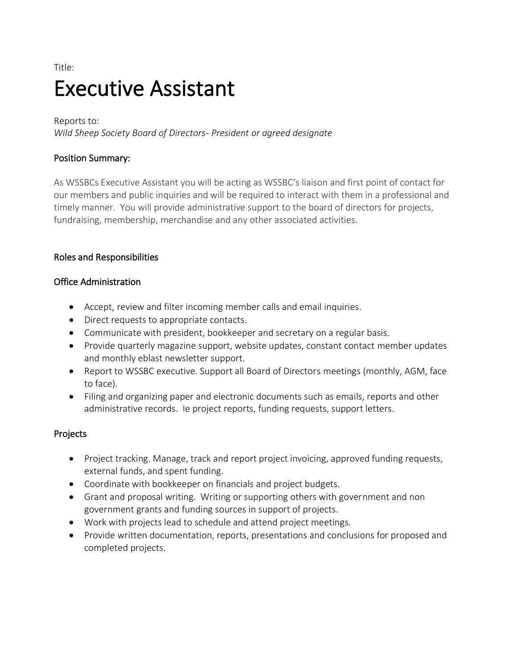# Title: Executive Assistant

Reports to:

*Wild Sheep Society Board of Directors- President or agreed designate*

## Position Summary:

As WSSBCs Executive Assistant you will be acting as WSSBC's liaison and first point of contact for our members and public inquiries and will be required to interact with them in a professional and timely manner. You will provide administrative support to the board of directors for projects, fundraising, membership, merchandise and any other associated activities.

## Roles and Responsibilities

## Office Administration

- Accept, review and filter incoming member calls and email inquiries.
- Direct requests to appropriate contacts.
- Communicate with president, bookkeeper and secretary on a regular basis.
- Provide quarterly magazine support, website updates, constant contact member updates and monthly eblast newsletter support.
- Report to WSSBC executive. Support all Board of Directors meetings (monthly, AGM, face to face).
- Filing and organizing paper and electronic documents such as emails, reports and other administrative records. Ie project reports, funding requests, support letters.

## Projects

- Project tracking. Manage, track and report project invoicing, approved funding requests, external funds, and spent funding.
- Coordinate with bookkeeper on financials and project budgets.
- Grant and proposal writing. Writing or supporting others with government and non government grants and funding sources in support of projects.
- Work with projects lead to schedule and attend project meetings.
- Provide written documentation, reports, presentations and conclusions for proposed and completed projects.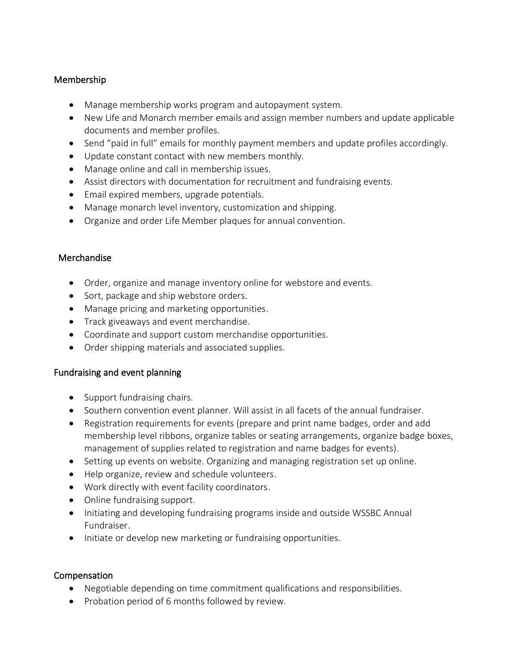## Membership

- Manage membership works program and autopayment system.
- New Life and Monarch member emails and assign member numbers and update applicable documents and member profiles.
- Send "paid in full" emails for monthly payment members and update profiles accordingly.
- Update constant contact with new members monthly.
- Manage online and call in membership issues.
- Assist directors with documentation for recruitment and fundraising events.
- Email expired members, upgrade potentials.
- Manage monarch level inventory, customization and shipping.
- Organize and order Life Member plaques for annual convention.

## Merchandise

- Order, organize and manage inventory online for webstore and events.
- Sort, package and ship webstore orders.
- Manage pricing and marketing opportunities.
- Track giveaways and event merchandise.
- Coordinate and support custom merchandise opportunities.
- Order shipping materials and associated supplies.

## Fundraising and event planning

- Support fundraising chairs.
- Southern convention event planner. Will assist in all facets of the annual fundraiser.
- Registration requirements for events (prepare and print name badges, order and add membership level ribbons, organize tables or seating arrangements, organize badge boxes, management of supplies related to registration and name badges for events).
- Setting up events on website. Organizing and managing registration set up online.
- Help organize, review and schedule volunteers.
- Work directly with event facility coordinators.
- Online fundraising support.
- Initiating and developing fundraising programs inside and outside WSSBC Annual Fundraiser.
- Initiate or develop new marketing or fundraising opportunities.

## Compensation

- Negotiable depending on time commitment qualifications and responsibilities.
- Probation period of 6 months followed by review.